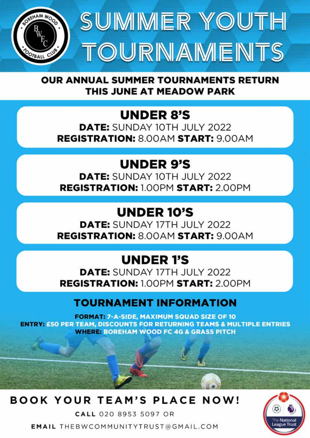



**OUR ANNUAL SUMMER TOURNAMENTS RETURN** THIS JUNE AT MEADOW PARK

## **UNDER 8'S**

**DATE:** SUNDAY 10TH JULY 2022 **REGISTRATION: 8.00AM START: 9.00AM** 

## **UNDER 9'S**

**DATE:** SUNDAY 10TH JULY 2022 **REGISTRATION: 1.00PM START: 2.00PM** 

## **UNDER 10'S**

**DATE:** SUNDAY 17TH JULY 2022 **REGISTRATION: 8.00AM START: 9.00AM** 

## **UNDER 1'S**

**DATE:** SUNDAY 17TH JULY 2022 **REGISTRATION: 1.00PM START: 2.00PM** 

#### **TOURNAMENT INFORMATION**

**FORMAT: 7-A-SIDE, MAXIMUM SQUAD SIZE OF 10** ENTRY: £50 PER TEAM, DISCOUNTS FOR RETURNING TEAMS & MULTIPLE ENTRIES **WHERE: BOREHAM WOOD FC 4G & GRASS PITCH** 

### **BOOK YOUR TEAM'S PLACE NOW!**

CALL 020 8953 5097 OR **EMAIL THEBWCOMMUNITYTRUST@GMAIL.COM**